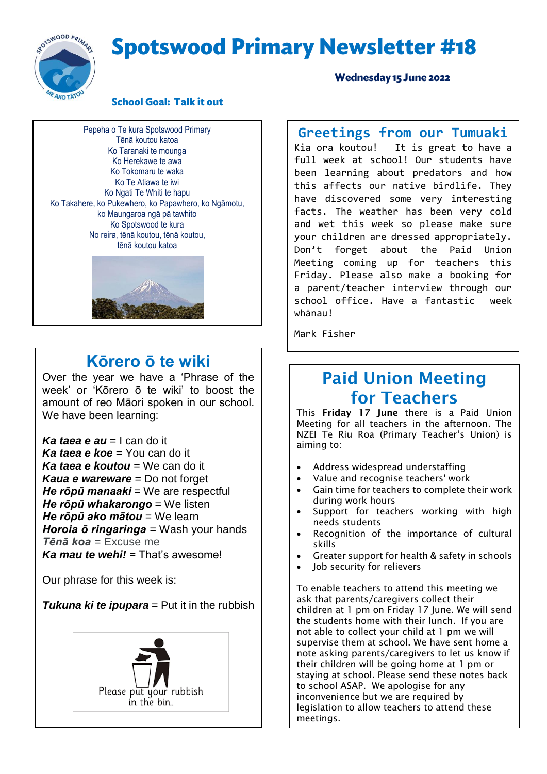# **Spotswood Primary Newsletter #18**



#### **School Goal: Talk it out**

Pepeha o Te kura Spotswood Primary Tēnā koutou katoa Ko Taranaki te mounga Ko Herekawe te awa Ko Tokomaru te waka Ko Te Atiawa te iwi Ko Ngati Te Whiti te hapu Ko Takahere, ko Pukewhero, ko Papawhero, ko Ngāmotu, ko Maungaroa ngā pā tawhito Ko Spotswood te kura No reira, tēnā koutou, tēnā koutou, tēnā koutou katoa



#### **Kōrero ō te wiki**

Over the year we have a 'Phrase of the week' or 'Kōrero ō te wiki' to boost the amount of reo Māori spoken in our school. We have been learning:

*Ka taea e au* = I can do it *Ka taea e koe* = You can do it *Ka taea e koutou* = We can do it *Kaua e wareware* = Do not forget *He rōpū manaaki* = We are respectful *He rōpū whakarongo* = We listen *He rōpū ako mātou* = We learn *Horoia ō ringaringa* = Wash your hands *Tēnā koa* = Excuse me *Ka mau te wehi!* = That's awesome!

Our phrase for this week is:

**Tukuna ki te ipupara** = Put it in the rubbish



Wednesday 15 June 2022

# **Greetings from our Tumuaki**<br>Kia ora koutou! It is great to have a

It is great to have a full week at school! Our students have been learning about predators and how this affects our native birdlife. They have discovered some very interesting facts. The weather has been very cold and wet this week so please make sure your children are dressed appropriately. Don't forget about the Paid Union Meeting coming up for teachers this Friday. Please also make a booking for a parent/teacher interview through our school office. Have a fantastic week whānau!

Mark Fisher

### Paid Union Meeting for Teachers

This Friday 17 June there is a Paid Union Meeting for all teachers in the afternoon. The NZEI Te Riu Roa (Primary Teacher's Union) is aiming to:

- Address widespread understaffing
- Value and recognise teachers' work
- Gain time for teachers to complete their work during work hours
- Support for teachers working with high needs students
- Recognition of the importance of cultural skills
- Greater support for health & safety in schools
- Job security for relievers

To enable teachers to attend this meeting we ask that parents/caregivers collect their children at 1 pm on Friday 17 June. We will send the students home with their lunch. If you are not able to collect your child at 1 pm we will supervise them at school. We have sent home a note asking parents/caregivers to let us know if their children will be going home at 1 pm or staying at school. Please send these notes back to school ASAP. We apologise for any inconvenience but we are required by legislation to allow teachers to attend these meetings.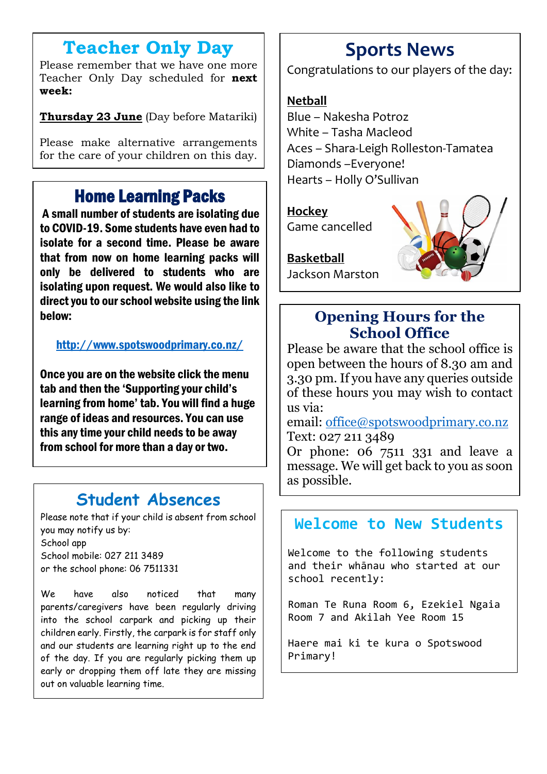### **Teacher Only Day**

Please remember that we have one more Teacher Only Day scheduled for **next week:**

**Thursday 23 June** (Day before Matariki)

Please make alternative arrangements for the care of your children on this day.

### Home Learning Packs

A small number of students are isolating due to COVID-19. Some students have even had to isolate for a second time. Please be aware that from now on home learning packs will only be delivered to students who are isolating upon request. We would also like to direct you to our school website using the link below:

<http://www.spotswoodprimary.co.nz/>

Once you are on the website click the menu tab and then the 'Supporting your child's learning from home' tab. You will find a huge range of ideas and resources. You can use this any time your child needs to be away from school for more than a day or two.

### **Student Absences**

Please note that if your child is absent from school you may notify us by: School app School mobile: 027 211 3489 or the school phone: 06 7511331

We have also noticed that many parents/caregivers have been regularly driving into the school carpark and picking up their children early. Firstly, the carpark is for staff only and our students are learning right up to the end of the day. If you are regularly picking them up early or dropping them off late they are missing out on valuable learning time.

# **Sports News**

Congratulations to our players of the day:

#### **Netball**

Blue – Nakesha Potroz White – Tasha Macleod Aces – Shara-Leigh Rolleston-Tamatea Diamonds –Everyone! Hearts – Holly O'Sullivan

#### **Hockey** Game cancelled

**Basketball** Jackson Marston

### **Opening Hours for the School Office**

Please be aware that the school office is open between the hours of 8.30 am and 3.30 pm. If you have any queries outside of these hours you may wish to contact us via:

email: [office@spotswoodprimary.co.nz](mailto:office@spotswoodprimary.co.nz) Text: 027 211 3489

Or phone: 06 7511 331 and leave a message. We will get back to you as soon as possible.

### **Welcome to New Students**

Welcome to the following students and their whānau who started at our school recently:

Roman Te Runa Room 6, Ezekiel Ngaia Room 7 and Akilah Yee Room 15

Haere mai ki te kura o Spotswood Primary!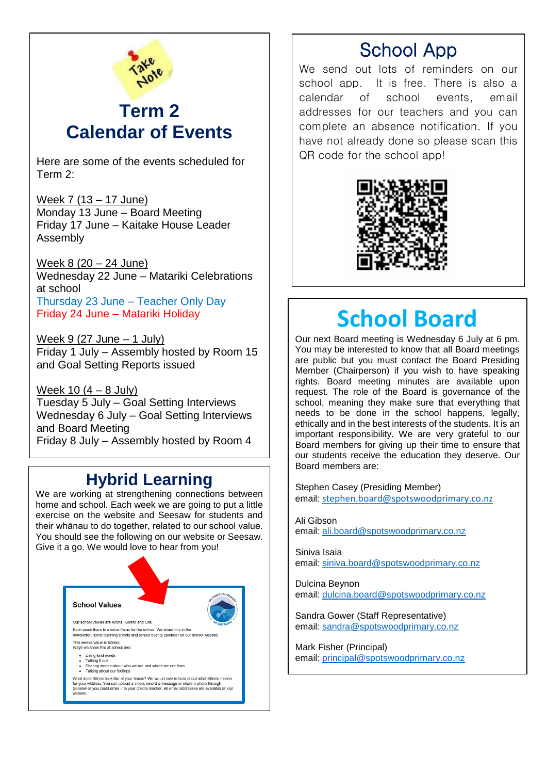

### **Term 2 Calendar of Events**

Here are some of the events scheduled for Term 2:

Week 7 (13 – 17 June) Monday 13 June – Board Meeting Friday 17 June – Kaitake House Leader Assembly

Week 8 (20 – 24 June) Wednesday 22 June – Matariki Celebrations at school Thursday 23 June – Teacher Only Day Friday 24 June – Matariki Holiday

Week  $9(27 \text{ June} - 1 \text{ July})$ Friday 1 July – Assembly hosted by Room 15 and Goal Setting Reports issued

Week 10 (4 – 8 July) Tuesday 5 July – Goal Setting Interviews Wednesday 6 July – Goal Setting Interviews and Board Meeting Friday 8 July – Assembly hosted by Room 4

### **Hybrid Learning**

We are working at strengthening connections between home and school. Each week we are going to put a little exercise on the website and Seesaw for students and their whānau to do together, related to our school value. You should see the following on our website or Seesaw. Give it a go. We would love to hear from you!



# School App

We send out lots of reminders on our school app. It is free. There is also a calendar of school events, email addresses for our teachers and you can complete an absence notification. If you have not already done so please scan this QR code for the school app!



# **School Board**

Our next Board meeting is Wednesday 6 July at 6 pm. You may be interested to know that all Board meetings are public but you must contact the Board Presiding Member (Chairperson) if you wish to have speaking rights. Board meeting minutes are available upon request. The role of the Board is governance of the school, meaning they make sure that everything that needs to be done in the school happens, legally, ethically and in the best interests of the students. It is an important responsibility. We are very grateful to our Board members for giving up their time to ensure that our students receive the education they deserve. Our Board members are:

Stephen Casey (Presiding Member) email: [stephen.board@spotswoodprimary.co.nz](mailto:stephen.board@spotswoodprimary.co.nz)

Ali Gibson email[: ali.board@spotswoodprimary.co.nz](mailto:ali.board@spotswoodprimary.co.nz)

Siniva Isaia email[: siniva.board@spotswoodprimary.co.nz](mailto:siniva.board@spotswoodprimary.co.nz)

Dulcina Beynon email[: dulcina.board@spotswoodprimary.co.nz](mailto:dulcina.board@spotswoodprimary.co.nz)

Sandra Gower (Staff Representative) email[: sandra@spotswoodprimary.co.nz](mailto:sandra@spotswoodprimary.co.nz)

Mark Fisher (Principal) email[: principal@spotswoodprimary.co.nz](mailto:principal@spotswoodprimary.co.nz)